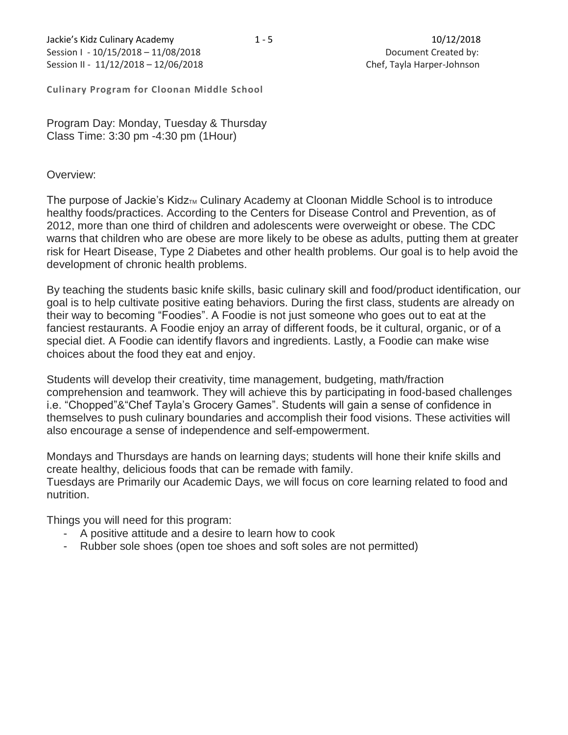**Culinary Program for Cloonan Middle School**

Program Day: Monday, Tuesday & Thursday Class Time: 3:30 pm -4:30 pm (1Hour)

## Overview:

The purpose of Jackie's Kidz<sub>TM</sub> Culinary Academy at Cloonan Middle School is to introduce healthy foods/practices. According to the Centers for Disease Control and Prevention, as of 2012, more than one third of children and adolescents were overweight or obese. The CDC warns that children who are obese are more likely to be obese as adults, putting them at greater risk for Heart Disease, Type 2 Diabetes and other health problems. Our goal is to help avoid the development of chronic health problems.

By teaching the students basic knife skills, basic culinary skill and food/product identification, our goal is to help cultivate positive eating behaviors. During the first class, students are already on their way to becoming "Foodies". A Foodie is not just someone who goes out to eat at the fanciest restaurants. A Foodie enjoy an array of different foods, be it cultural, organic, or of a special diet. A Foodie can identify flavors and ingredients. Lastly, a Foodie can make wise choices about the food they eat and enjoy.

Students will develop their creativity, time management, budgeting, math/fraction comprehension and teamwork. They will achieve this by participating in food-based challenges i.e. "Chopped"&"Chef Tayla's Grocery Games". Students will gain a sense of confidence in themselves to push culinary boundaries and accomplish their food visions. These activities will also encourage a sense of independence and self-empowerment.

Mondays and Thursdays are hands on learning days; students will hone their knife skills and create healthy, delicious foods that can be remade with family. Tuesdays are Primarily our Academic Days, we will focus on core learning related to food and nutrition.

Things you will need for this program:

- A positive attitude and a desire to learn how to cook
- Rubber sole shoes (open toe shoes and soft soles are not permitted)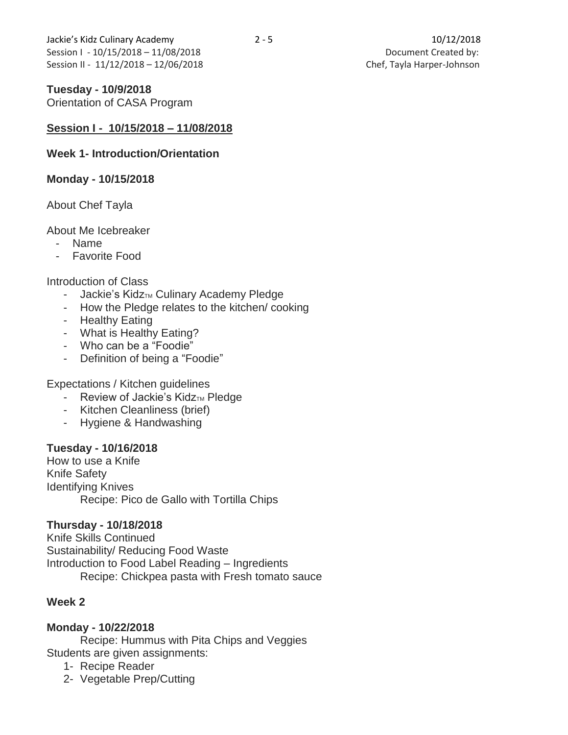Jackie's Kidz Culinary Academy 2 - 5 10/12/2018 Session I - 10/15/2018 – 11/08/2018 **Document Created by:** Session II - 11/12/2018 - 12/06/2018 **Chef, Tayla Harper-Johnson** 

# **Tuesday - 10/9/2018**

Orientation of CASA Program

# **Session I - 10/15/2018 – 11/08/2018**

## **Week 1- Introduction/Orientation**

## **Monday - 10/15/2018**

# About Chef Tayla

## About Me Icebreaker

- Name
- Favorite Food

## Introduction of Class

- $-$  Jackie's Kidz<sub>™</sub> Culinary Academy Pledge
- How the Pledge relates to the kitchen/ cooking
- Healthy Eating
- What is Healthy Eating?
- Who can be a "Foodie"
- Definition of being a "Foodie"

Expectations / Kitchen guidelines

- Review of Jackie's Kidz $<sub>TM</sub>$  Pledge</sub>
- Kitchen Cleanliness (brief)
- Hygiene & Handwashing

## **Tuesday - 10/16/2018**

How to use a Knife Knife Safety Identifying Knives Recipe: Pico de Gallo with Tortilla Chips

# **Thursday - 10/18/2018**

Knife Skills Continued Sustainability/ Reducing Food Waste Introduction to Food Label Reading – Ingredients Recipe: Chickpea pasta with Fresh tomato sauce

# **Week 2**

# **Monday - 10/22/2018**

Recipe: Hummus with Pita Chips and Veggies Students are given assignments:

- 1- Recipe Reader
- 2- Vegetable Prep/Cutting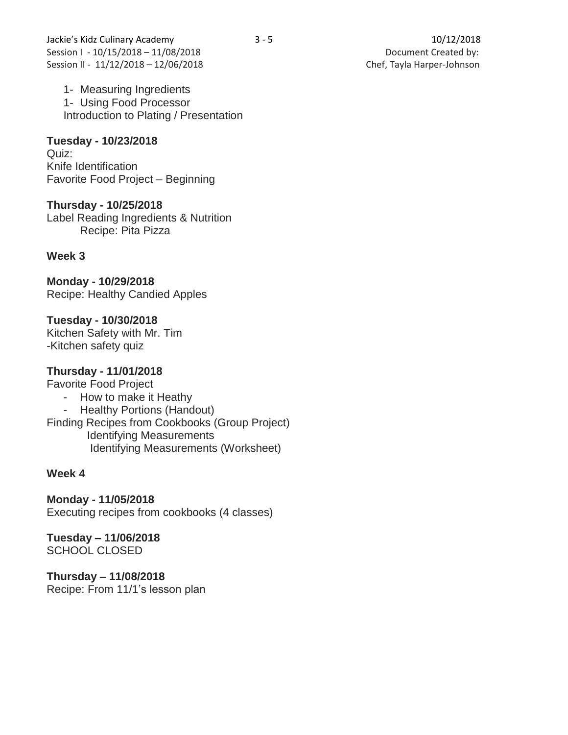1- Measuring Ingredients 1- Using Food Processor Introduction to Plating / Presentation

**Tuesday - 10/23/2018** Quiz: Knife Identification Favorite Food Project – Beginning

**Thursday - 10/25/2018** Label Reading Ingredients & Nutrition Recipe: Pita Pizza

# **Week 3**

**Monday - 10/29/2018** Recipe: Healthy Candied Apples

**Tuesday - 10/30/2018** Kitchen Safety with Mr. Tim -Kitchen safety quiz

# **Thursday - 11/01/2018**

Favorite Food Project

- How to make it Heathy

- Healthy Portions (Handout) Finding Recipes from Cookbooks (Group Project) Identifying Measurements Identifying Measurements (Worksheet)

# **Week 4**

**Monday - 11/05/2018** Executing recipes from cookbooks (4 classes)

**Tuesday – 11/06/2018** SCHOOL CLOSED

**Thursday – 11/08/2018** Recipe: From 11/1's lesson plan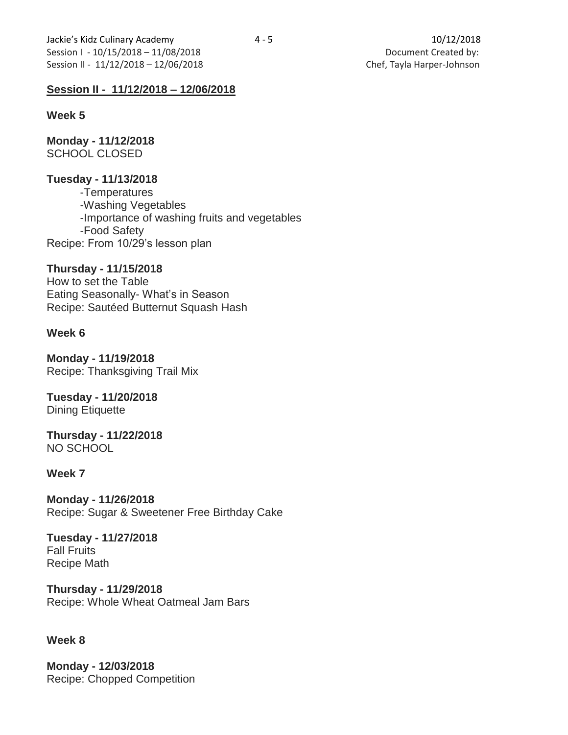# **Session II - 11/12/2018 – 12/06/2018**

#### **Week 5**

**Monday - 11/12/2018** SCHOOL CLOSED

## **Tuesday - 11/13/2018**

-Temperatures -Washing Vegetables -Importance of washing fruits and vegetables -Food Safety Recipe: From 10/29's lesson plan

## **Thursday - 11/15/2018**

How to set the Table Eating Seasonally- What's in Season Recipe: Sautéed Butternut Squash Hash

## **Week 6**

**Monday - 11/19/2018** Recipe: Thanksgiving Trail Mix

**Tuesday - 11/20/2018** Dining Etiquette

**Thursday - 11/22/2018** NO SCHOOL

## **Week 7**

**Monday - 11/26/2018** Recipe: Sugar & Sweetener Free Birthday Cake

**Tuesday - 11/27/2018** Fall Fruits Recipe Math

**Thursday - 11/29/2018** Recipe: Whole Wheat Oatmeal Jam Bars

## **Week 8**

**Monday - 12/03/2018** Recipe: Chopped Competition